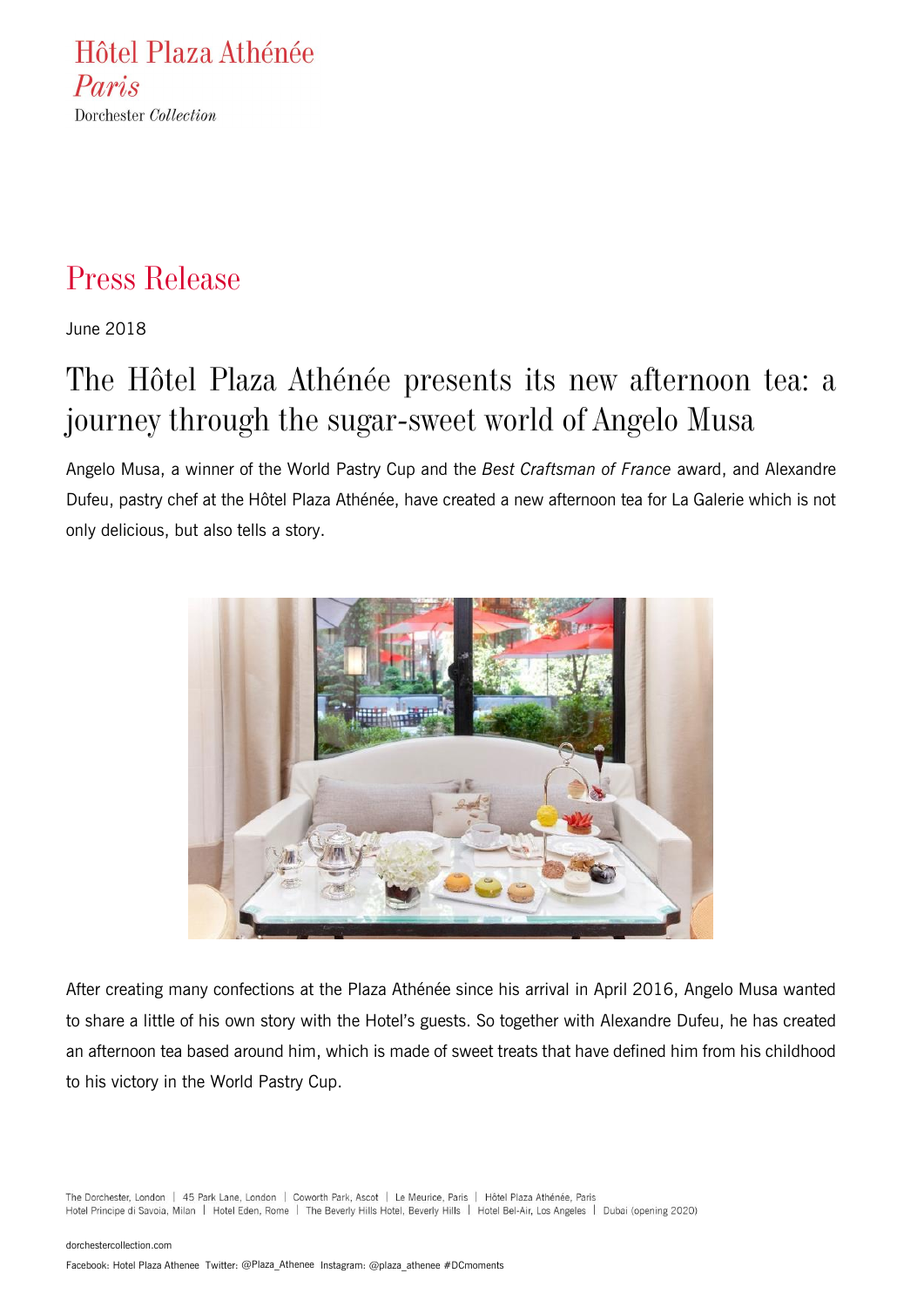Hôtel Plaza Athénée Paris Dorchester Collection

### Press Release

June 2018

# The Hôtel Plaza Athénée presents its new afternoon tea: a journey through the sugar-sweet world of Angelo Musa

Angelo Musa, a winner of the World Pastry Cup and the *Best Craftsman of France* award, and Alexandre Dufeu, pastry chef at the Hôtel Plaza Athénée, have created a new afternoon tea for La Galerie which is not only delicious, but also tells a story.



After creating many confections at the Plaza Athénée since his arrival in April 2016, Angelo Musa wanted to share a little of his own story with the Hotel's guests. So together with Alexandre Dufeu, he has created an afternoon tea based around him, which is made of sweet treats that have defined him from his childhood to his victory in the World Pastry Cup.

The Dorchester, London | 45 Park Lane, London | Coworth Park, Ascot | Le Meurice, Paris | Hôtel Plaza Athénée, Paris Hotel Principe di Savoia, Milan | Hotel Eden, Rome | The Beverly Hills Hotel, Beverly Hills | Hotel Bel-Air, Los Angeles | Dubai (opening 2020)

[dorchestercollection.com](http://www.dorchestercollection.com/)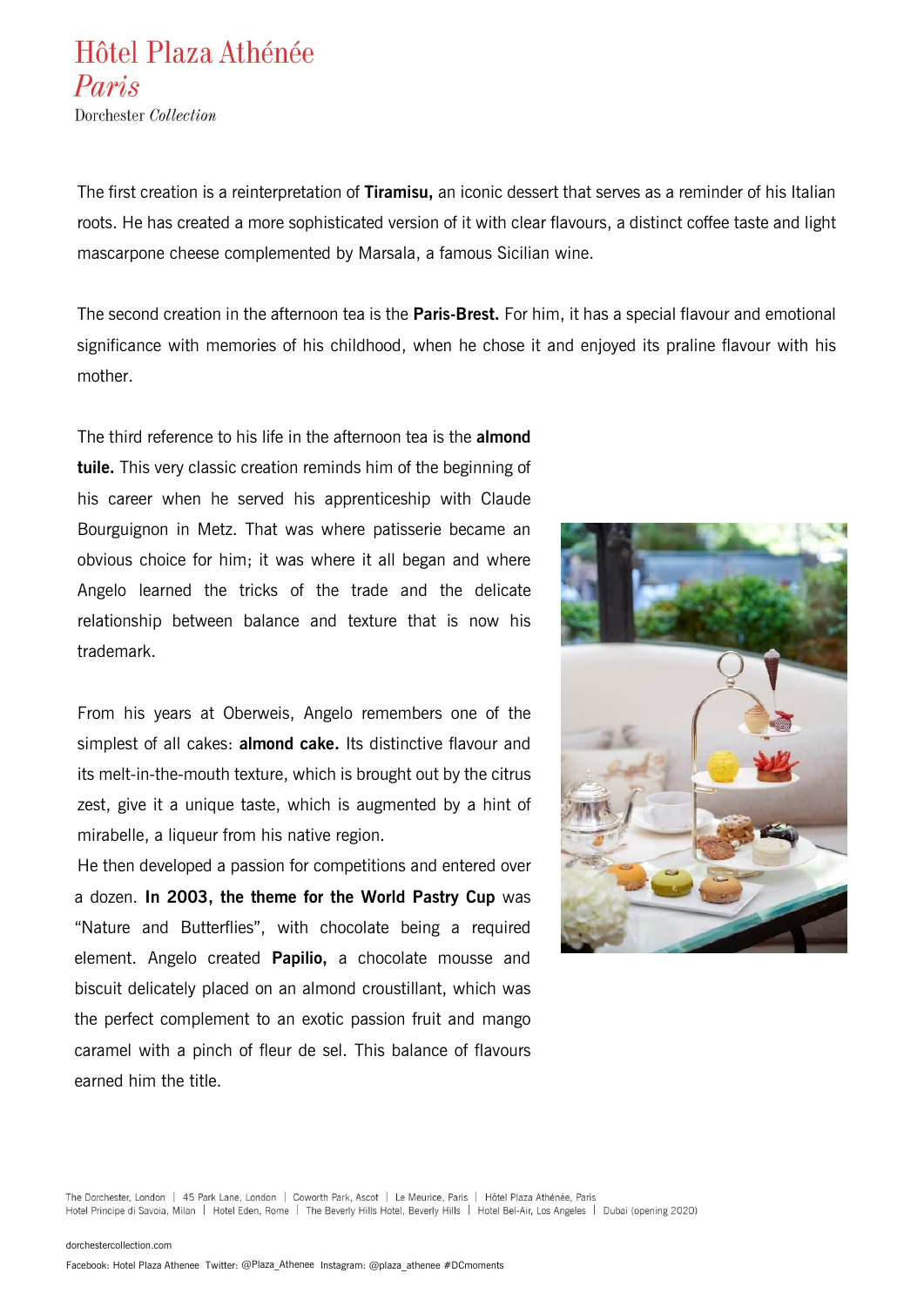Dorchester Collection

The first creation is a reinterpretation of **Tiramisu,** an iconic dessert that serves as a reminder of his Italian roots. He has created a more sophisticated version of it with clear flavours, a distinct coffee taste and light mascarpone cheese complemented by Marsala, a famous Sicilian wine.

The second creation in the afternoon tea is the **Paris-Brest.** For him, it has a special flavour and emotional significance with memories of his childhood, when he chose it and enjoyed its praline flavour with his mother.

The third reference to his life in the afternoon tea is the **almond tuile.** This very classic creation reminds him of the beginning of his career when he served his apprenticeship with Claude Bourguignon in Metz. That was where patisserie became an obvious choice for him; it was where it all began and where Angelo learned the tricks of the trade and the delicate relationship between balance and texture that is now his trademark.

From his years at Oberweis, Angelo remembers one of the simplest of all cakes: **almond cake.** Its distinctive flavour and its melt-in-the-mouth texture, which is brought out by the citrus zest, give it a unique taste, which is augmented by a hint of mirabelle, a liqueur from his native region.

He then developed a passion for competitions and entered over a dozen. **In 2003, the theme for the World Pastry Cup** was "Nature and Butterflies", with chocolate being a required element. Angelo created **Papilio,** a chocolate mousse and biscuit delicately placed on an almond croustillant, which was the perfect complement to an exotic passion fruit and mango caramel with a pinch of fleur de sel. This balance of flavours earned him the title.

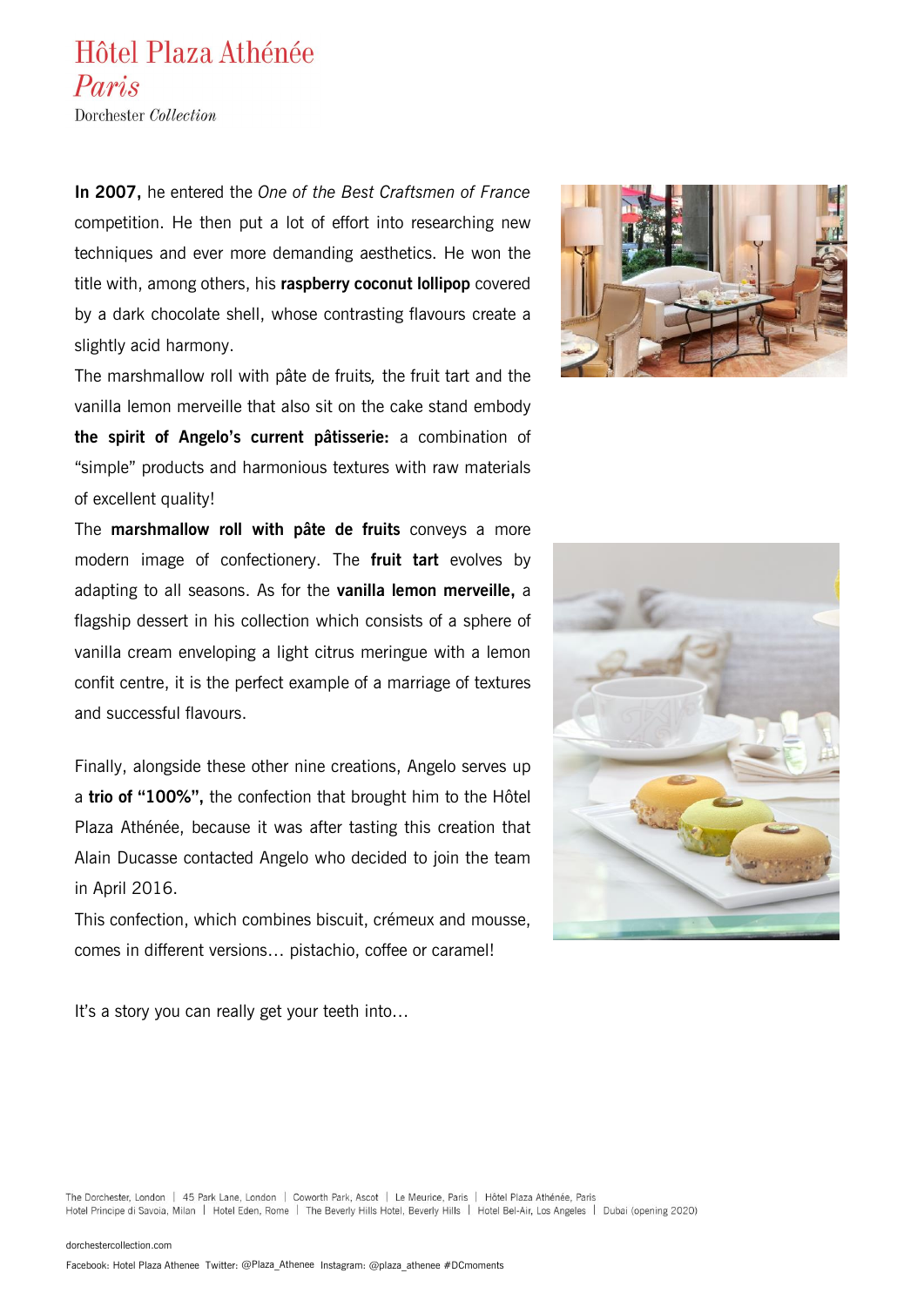Dorchester Collection

**In 2007,** he entered the *One of the Best Craftsmen of France* competition. He then put a lot of effort into researching new techniques and ever more demanding aesthetics. He won the title with, among others, his **raspberry coconut lollipop** covered by a dark chocolate shell, whose contrasting flavours create a slightly acid harmony.

The marshmallow roll with pâte de fruits*,* the fruit tart and the vanilla lemon merveille that also sit on the cake stand embody **the spirit of Angelo's current pâtisserie:** a combination of "simple" products and harmonious textures with raw materials of excellent quality!

The **marshmallow roll with pâte de fruits** conveys a more modern image of confectionery. The **fruit tart** evolves by adapting to all seasons. As for the **vanilla lemon merveille,** a flagship dessert in his collection which consists of a sphere of vanilla cream enveloping a light citrus meringue with a lemon confit centre, it is the perfect example of a marriage of textures and successful flavours.

Finally, alongside these other nine creations, Angelo serves up a **trio of "100%",** the confection that brought him to the Hôtel Plaza Athénée, because it was after tasting this creation that Alain Ducasse contacted Angelo who decided to join the team in April 2016.

This confection, which combines biscuit, crémeux and mousse, comes in different versions… pistachio, coffee or caramel!

It's a story you can really get your teeth into...



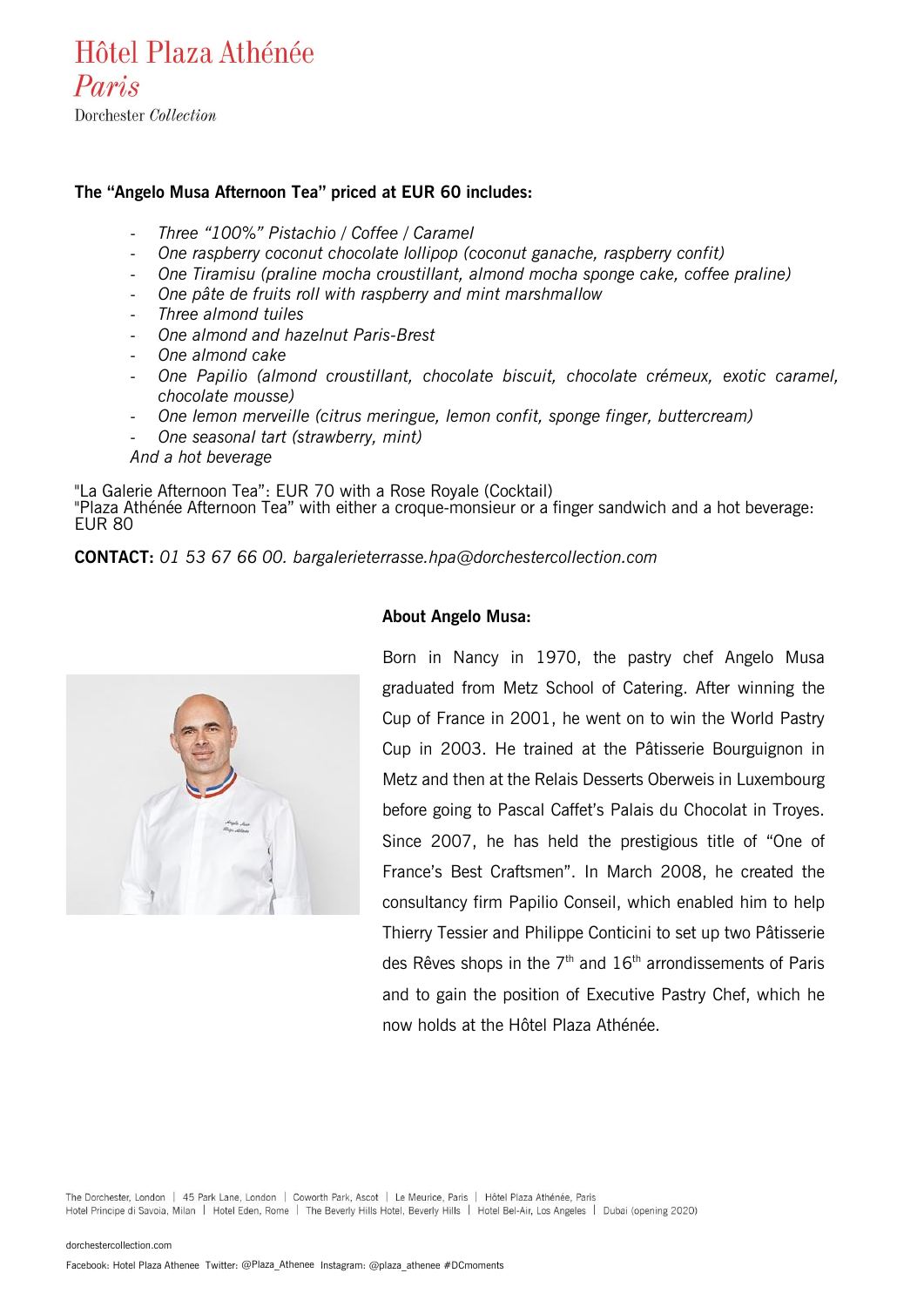Dorchester Collection

#### **The "Angelo Musa Afternoon Tea" priced at EUR 60 includes:**

- *Three "100%" Pistachio / Coffee / Caramel*
- *One raspberry coconut chocolate lollipop (coconut ganache, raspberry confit)*
- *One Tiramisu (praline mocha croustillant, almond mocha sponge cake, coffee praline)*
- *One pâte de fruits roll with raspberry and mint marshmallow*
- *Three almond tuiles*
- *One almond and hazelnut Paris-Brest*
- *One almond cake*
- *One Papilio (almond croustillant, chocolate biscuit, chocolate crémeux, exotic caramel, chocolate mousse)*
- *One lemon merveille (citrus meringue, lemon confit, sponge finger, buttercream)*
- *One seasonal tart (strawberry, mint)*
- *And a hot beverage*

"La Galerie Afternoon Tea": EUR 70 with a Rose Royale (Cocktail) "Plaza Athénée Afternoon Tea" with either a croque-monsieur or a finger sandwich and a hot beverage: EUR 80

#### **CONTACT:** *01 53 67 66 00. [bargalerieterrasse.hpa@dorchestercollection.com](mailto:bargalerieterrasse.hpa@dorchestercollection.com)*



#### **About Angelo Musa:**

Born in Nancy in 1970, the pastry chef Angelo Musa graduated from Metz School of Catering. After winning the Cup of France in 2001, he went on to win the World Pastry Cup in 2003. He trained at the Pâtisserie Bourguignon in Metz and then at the Relais Desserts Oberweis in Luxembourg before going to Pascal Caffet's Palais du Chocolat in Troyes. Since 2007, he has held the prestigious title of "One of France's Best Craftsmen". In March 2008, he created the consultancy firm Papilio Conseil, which enabled him to help Thierry Tessier and Philippe Conticini to set up two Pâtisserie des Rêves shops in the  $7<sup>th</sup>$  and  $16<sup>th</sup>$  arrondissements of Paris and to gain the position of Executive Pastry Chef, which he now holds at the Hôtel Plaza Athénée.